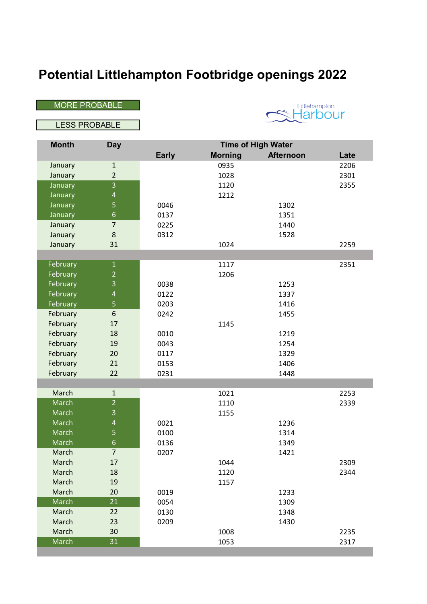## Potential Littlehampton Footbridge openings 2022

MORE PROBABLE

Littlehampton<br>Harbour

LESS PROBABLE

| <b>Month</b> | <b>Day</b>     | <b>Time of High Water</b> |                |                  |      |
|--------------|----------------|---------------------------|----------------|------------------|------|
|              |                | <b>Early</b>              | <b>Morning</b> | <b>Afternoon</b> | Late |
| January      | $\mathbf 1$    |                           | 0935           |                  | 2206 |
| January      | $\overline{2}$ |                           | 1028           |                  | 2301 |
| January      | $\overline{3}$ |                           | 1120           |                  | 2355 |
| January      | $\overline{a}$ |                           | 1212           |                  |      |
| January      | 5              | 0046                      |                | 1302             |      |
| January      | 6              | 0137                      |                | 1351             |      |
| January      | $\overline{7}$ | 0225                      |                | 1440             |      |
| January      | 8              | 0312                      |                | 1528             |      |
| January      | 31             |                           | 1024           |                  | 2259 |
|              |                |                           |                |                  |      |
| February     | $\mathbf 1$    |                           | 1117           |                  | 2351 |
| February     | $\overline{2}$ |                           | 1206           |                  |      |
| February     | 3              | 0038                      |                | 1253             |      |
| February     | $\overline{a}$ | 0122                      |                | 1337             |      |
| February     | 5              | 0203                      |                | 1416             |      |
| February     | 6              | 0242                      |                | 1455             |      |
| February     | 17             |                           | 1145           |                  |      |
| February     | 18             | 0010                      |                | 1219             |      |
| February     | 19             | 0043                      |                | 1254             |      |
| February     | 20             | 0117                      |                | 1329             |      |
| February     | 21             | 0153                      |                | 1406             |      |
| February     | 22             | 0231                      |                | 1448             |      |
|              |                |                           |                |                  |      |
| March        | $\mathbf{1}$   |                           | 1021           |                  | 2253 |
| March        | $\overline{2}$ |                           | 1110           |                  | 2339 |
| March        | $\overline{3}$ |                           | 1155           |                  |      |
| March        | $\overline{a}$ | 0021                      |                | 1236             |      |
| March        | 5              | 0100                      |                | 1314             |      |
| March        | $6\phantom{a}$ | 0136                      |                | 1349             |      |
| March        | $\overline{7}$ | 0207                      |                | 1421             |      |
| March        | 17             |                           | 1044           |                  | 2309 |
| March        | 18             |                           | 1120           |                  | 2344 |
| March        | 19             |                           | 1157           |                  |      |
| March        | 20             | 0019                      |                | 1233             |      |
| March        | 21             | 0054                      |                | 1309             |      |
| March        | 22             | 0130                      |                | 1348             |      |
| March        | 23             | 0209                      |                | 1430             |      |
| March        | 30             |                           | 1008           |                  | 2235 |
| March        | 31             |                           | 1053           |                  | 2317 |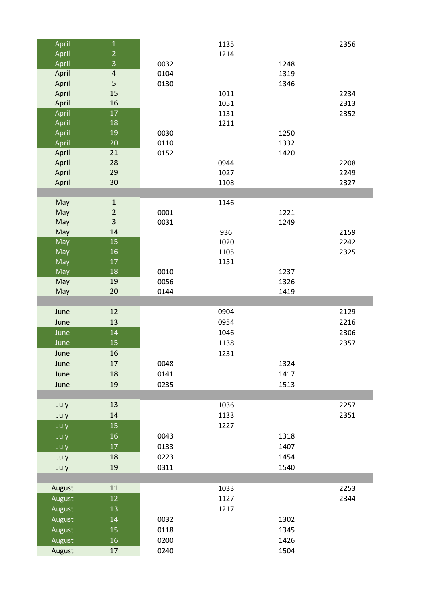| April            | $\mathbf 1$             |              | 1135 |              | 2356 |
|------------------|-------------------------|--------------|------|--------------|------|
| April            | $\overline{c}$          |              | 1214 |              |      |
| April            | $\overline{3}$          | 0032         |      | 1248         |      |
| April            | $\overline{\mathbf{4}}$ | 0104         |      | 1319         |      |
| April            | 5                       | 0130         |      | 1346         |      |
| April            | 15                      |              | 1011 |              | 2234 |
| April            | 16                      |              | 1051 |              | 2313 |
| April            | 17                      |              | 1131 |              | 2352 |
| April            | 18                      |              | 1211 |              |      |
| April            | 19                      | 0030         |      | 1250         |      |
| April            | 20                      | 0110         |      | 1332         |      |
| April            | 21                      | 0152         |      | 1420         |      |
| April            | 28                      |              | 0944 |              | 2208 |
| April            | 29                      |              | 1027 |              | 2249 |
| April            | 30                      |              | 1108 |              | 2327 |
|                  |                         |              |      |              |      |
| May              | $\mathbf 1$             |              | 1146 |              |      |
| May              | $\mathbf 2$             | 0001         |      | 1221         |      |
| May              | $\overline{\mathbf{3}}$ | 0031         |      | 1249         |      |
| May              | 14                      |              | 936  |              | 2159 |
| May              | 15                      |              | 1020 |              | 2242 |
| May              | 16                      |              | 1105 |              | 2325 |
| May              | 17                      |              | 1151 |              |      |
| May              | 18                      | 0010         |      | 1237         |      |
| May              | 19                      | 0056         |      | 1326         |      |
| May              | 20                      | 0144         |      | 1419         |      |
|                  |                         |              |      |              |      |
|                  |                         |              |      |              |      |
| June             | 12                      |              | 0904 |              | 2129 |
| June             | 13                      |              | 0954 |              | 2216 |
| June             | 14                      |              | 1046 |              | 2306 |
| June             | 15                      |              | 1138 |              | 2357 |
| June             | 16                      |              | 1231 |              |      |
| June             | 17                      | 0048         |      | 1324         |      |
| June             | 18                      | 0141         |      | 1417         |      |
| June             | 19                      | 0235         |      | 1513         |      |
|                  |                         |              |      |              |      |
| July             | 13                      |              | 1036 |              | 2257 |
| July             | 14                      |              | 1133 |              | 2351 |
|                  | 15                      |              | 1227 |              |      |
| July             |                         |              |      |              |      |
| July             | 16<br>17                | 0043         |      | 1318<br>1407 |      |
| July             |                         | 0133         |      |              |      |
| July             | 18                      | 0223         |      | 1454         |      |
| July             | 19                      | 0311         |      | 1540         |      |
|                  |                         |              |      |              |      |
| August           | 11                      |              | 1033 |              | 2253 |
| August           | 12                      |              | 1127 |              | 2344 |
| August           | 13                      |              | 1217 |              |      |
| August           | $14\,$                  | 0032         |      | 1302         |      |
| August           | 15                      | 0118         |      | 1345         |      |
| August<br>August | 16<br>17                | 0200<br>0240 |      | 1426<br>1504 |      |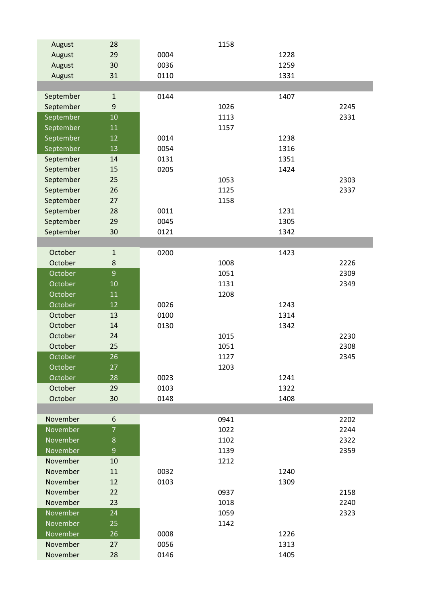| August    | 28             |      | 1158 |      |      |
|-----------|----------------|------|------|------|------|
| August    | 29             | 0004 |      | 1228 |      |
| August    | 30             | 0036 |      | 1259 |      |
| August    | 31             | 0110 |      | 1331 |      |
|           |                |      |      |      |      |
| September | $\mathbf 1$    | 0144 |      | 1407 |      |
| September | 9              |      | 1026 |      | 2245 |
| September | 10             |      | 1113 |      | 2331 |
| September | 11             |      | 1157 |      |      |
| September | 12             | 0014 |      | 1238 |      |
| September | 13             | 0054 |      | 1316 |      |
| September | 14             | 0131 |      | 1351 |      |
| September | 15             | 0205 |      | 1424 |      |
| September | 25             |      | 1053 |      | 2303 |
| September | 26             |      | 1125 |      | 2337 |
| September | 27             |      | 1158 |      |      |
| September | 28             | 0011 |      | 1231 |      |
| September | 29             | 0045 |      | 1305 |      |
| September | 30             | 0121 |      | 1342 |      |
|           |                |      |      |      |      |
| October   | $\mathbf 1$    | 0200 |      | 1423 |      |
| October   | $\bf 8$        |      | 1008 |      | 2226 |
| October   | $\overline{9}$ |      | 1051 |      | 2309 |
| October   | 10             |      | 1131 |      | 2349 |
| October   | 11             |      | 1208 |      |      |
| October   | 12             | 0026 |      | 1243 |      |
| October   | 13             | 0100 |      | 1314 |      |
| October   | 14             | 0130 |      | 1342 |      |
| October   | 24             |      | 1015 |      | 2230 |
| October   | 25             |      | 1051 |      | 2308 |
| October   | 26             |      | 1127 |      | 2345 |
| October   | 27             |      | 1203 |      |      |
| October   | 28             | 0023 |      | 1241 |      |
| October   | 29             | 0103 |      | 1322 |      |
| October   | 30             | 0148 |      | 1408 |      |
|           |                |      |      |      |      |
| November  | 6              |      | 0941 |      | 2202 |
| November  | $\overline{7}$ |      | 1022 |      | 2244 |
| November  | $\bf 8$        |      | 1102 |      | 2322 |
| November  | 9              |      | 1139 |      | 2359 |
| November  | 10             |      | 1212 |      |      |
| November  | 11             | 0032 |      | 1240 |      |
| November  | 12             | 0103 |      | 1309 |      |
| November  | 22             |      | 0937 |      | 2158 |
| November  | 23             |      | 1018 |      | 2240 |
| November  | 24             |      | 1059 |      | 2323 |
| November  | 25             |      | 1142 |      |      |
| November  | 26             | 0008 |      | 1226 |      |
| November  | 27             | 0056 |      | 1313 |      |
| November  | 28             | 0146 |      | 1405 |      |
|           |                |      |      |      |      |